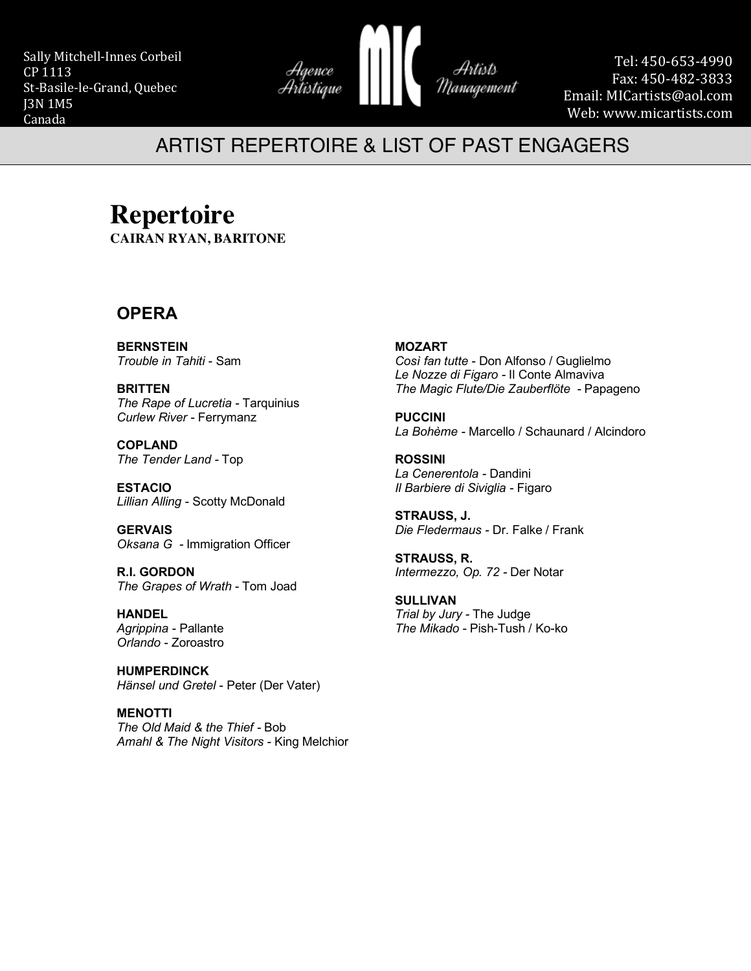Sally Mitchell-Innes Corbeil CP 1113 St-Basile-le-Grand, Quebec J3N 1M5 Canada



Tel: 450-653-4990 Fax: 450-482-3833 Email: MICartists@aol.com Web: www.micartists.com

## ARTIST REPERTOIRE & LIST OF PAST ENGAGERS

## **Repertoire**

**CAIRAN RYAN, BARITONE**

### **OPERA**

**BERNSTEIN** *Trouble in Tahiti* - Sam

**BRITTEN** *The Rape of Lucretia -* Tarquinius *Curlew River -* Ferrymanz

**COPLAND** *The Tender Land -* Top

**ESTACIO** *Lillian Alling -* Scotty McDonald

**GERVAIS** *Oksana G -* Immigration Officer

**R.I. GORDON** *The Grapes of Wrath -* Tom Joad

#### **HANDEL** *Agrippina -* Pallante *Orlando -* Zoroastro

**HUMPERDINCK** *Hänsel und Gretel* - Peter (Der Vater)

**MENOTTI** *The Old Maid & the Thief -* Bob *Amahl & The Night Visitors -* King Melchior

#### **MOZART**

*Così fan tutte -* Don Alfonso / Guglielmo *Le Nozze di Figaro -* Il Conte Almaviva *The Magic Flute/Die Zauberflöte -* Papageno

**PUCCINI** *La Bohème -* Marcello / Schaunard / Alcindoro

**ROSSINI** *La Cenerentola -* Dandini *Il Barbiere di Siviglia -* Figaro

Artists

Management

**STRAUSS, J.** *Die Fledermaus -* Dr. Falke / Frank

**STRAUSS, R.** *Intermezzo, Op. 72 -* Der Notar

**SULLIVAN** *Trial by Jury -* The Judge *The Mikado* - Pish-Tush / Ko-ko